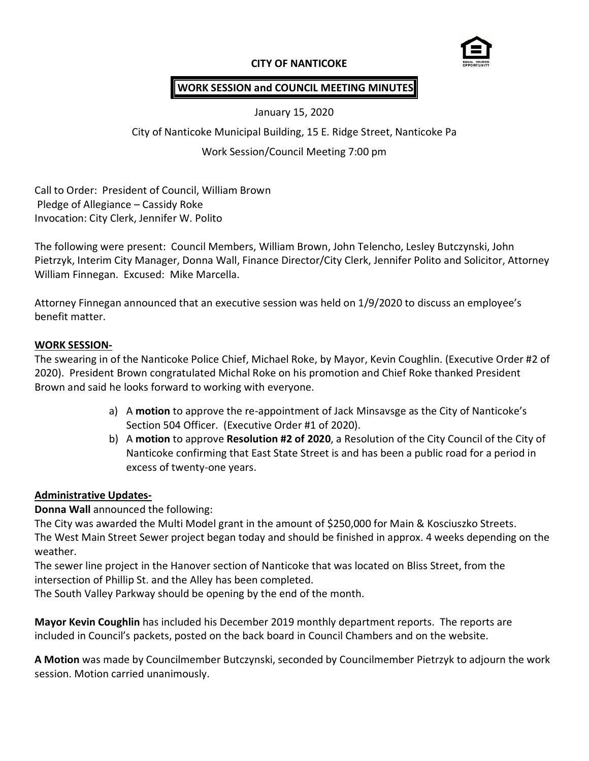### **CITY OF NANTICOKE**



# **WORK SESSION and COUNCIL MEETING MINUTES**

January 15, 2020

City of Nanticoke Municipal Building, 15 E. Ridge Street, Nanticoke Pa

### Work Session/Council Meeting 7:00 pm

Call to Order: President of Council, William Brown Pledge of Allegiance – Cassidy Roke Invocation: City Clerk, Jennifer W. Polito

The following were present: Council Members, William Brown, John Telencho, Lesley Butczynski, John Pietrzyk, Interim City Manager, Donna Wall, Finance Director/City Clerk, Jennifer Polito and Solicitor, Attorney William Finnegan. Excused: Mike Marcella.

Attorney Finnegan announced that an executive session was held on 1/9/2020 to discuss an employee's benefit matter.

#### **WORK SESSION-**

The swearing in of the Nanticoke Police Chief, Michael Roke, by Mayor, Kevin Coughlin. (Executive Order #2 of 2020). President Brown congratulated Michal Roke on his promotion and Chief Roke thanked President Brown and said he looks forward to working with everyone.

- a) A **motion** to approve the re-appointment of Jack Minsavsge as the City of Nanticoke's Section 504 Officer. (Executive Order #1 of 2020).
- b) A **motion** to approve **Resolution #2 of 2020**, a Resolution of the City Council of the City of Nanticoke confirming that East State Street is and has been a public road for a period in excess of twenty-one years.

### **Administrative Updates-**

**Donna Wall** announced the following:

The City was awarded the Multi Model grant in the amount of \$250,000 for Main & Kosciuszko Streets. The West Main Street Sewer project began today and should be finished in approx. 4 weeks depending on the weather.

The sewer line project in the Hanover section of Nanticoke that was located on Bliss Street, from the intersection of Phillip St. and the Alley has been completed.

The South Valley Parkway should be opening by the end of the month.

**Mayor Kevin Coughlin** has included his December 2019 monthly department reports. The reports are included in Council's packets, posted on the back board in Council Chambers and on the website.

**A Motion** was made by Councilmember Butczynski, seconded by Councilmember Pietrzyk to adjourn the work session. Motion carried unanimously.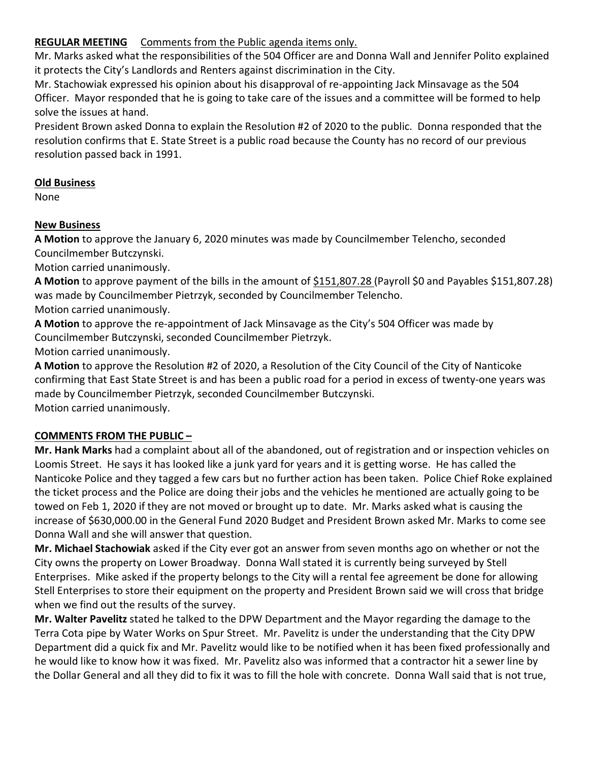# **REGULAR MEETING** Comments from the Public agenda items only.

Mr. Marks asked what the responsibilities of the 504 Officer are and Donna Wall and Jennifer Polito explained it protects the City's Landlords and Renters against discrimination in the City.

Mr. Stachowiak expressed his opinion about his disapproval of re-appointing Jack Minsavage as the 504 Officer. Mayor responded that he is going to take care of the issues and a committee will be formed to help solve the issues at hand.

President Brown asked Donna to explain the Resolution #2 of 2020 to the public. Donna responded that the resolution confirms that E. State Street is a public road because the County has no record of our previous resolution passed back in 1991.

### **Old Business**

None

# **New Business**

**A Motion** to approve the January 6, 2020 minutes was made by Councilmember Telencho, seconded Councilmember Butczynski.

Motion carried unanimously.

**A Motion** to approve payment of the bills in the amount of \$151,807.28 (Payroll \$0 and Payables \$151,807.28) was made by Councilmember Pietrzyk, seconded by Councilmember Telencho.

Motion carried unanimously.

**A Motion** to approve the re-appointment of Jack Minsavage as the City's 504 Officer was made by Councilmember Butczynski, seconded Councilmember Pietrzyk.

Motion carried unanimously.

**A Motion** to approve the Resolution #2 of 2020, a Resolution of the City Council of the City of Nanticoke confirming that East State Street is and has been a public road for a period in excess of twenty-one years was made by Councilmember Pietrzyk, seconded Councilmember Butczynski. Motion carried unanimously.

# **COMMENTS FROM THE PUBLIC –**

**Mr. Hank Marks** had a complaint about all of the abandoned, out of registration and or inspection vehicles on Loomis Street. He says it has looked like a junk yard for years and it is getting worse. He has called the Nanticoke Police and they tagged a few cars but no further action has been taken. Police Chief Roke explained the ticket process and the Police are doing their jobs and the vehicles he mentioned are actually going to be towed on Feb 1, 2020 if they are not moved or brought up to date. Mr. Marks asked what is causing the increase of \$630,000.00 in the General Fund 2020 Budget and President Brown asked Mr. Marks to come see Donna Wall and she will answer that question.

**Mr. Michael Stachowiak** asked if the City ever got an answer from seven months ago on whether or not the City owns the property on Lower Broadway. Donna Wall stated it is currently being surveyed by Stell Enterprises. Mike asked if the property belongs to the City will a rental fee agreement be done for allowing Stell Enterprises to store their equipment on the property and President Brown said we will cross that bridge when we find out the results of the survey.

**Mr. Walter Pavelitz** stated he talked to the DPW Department and the Mayor regarding the damage to the Terra Cota pipe by Water Works on Spur Street. Mr. Pavelitz is under the understanding that the City DPW Department did a quick fix and Mr. Pavelitz would like to be notified when it has been fixed professionally and he would like to know how it was fixed. Mr. Pavelitz also was informed that a contractor hit a sewer line by the Dollar General and all they did to fix it was to fill the hole with concrete. Donna Wall said that is not true,